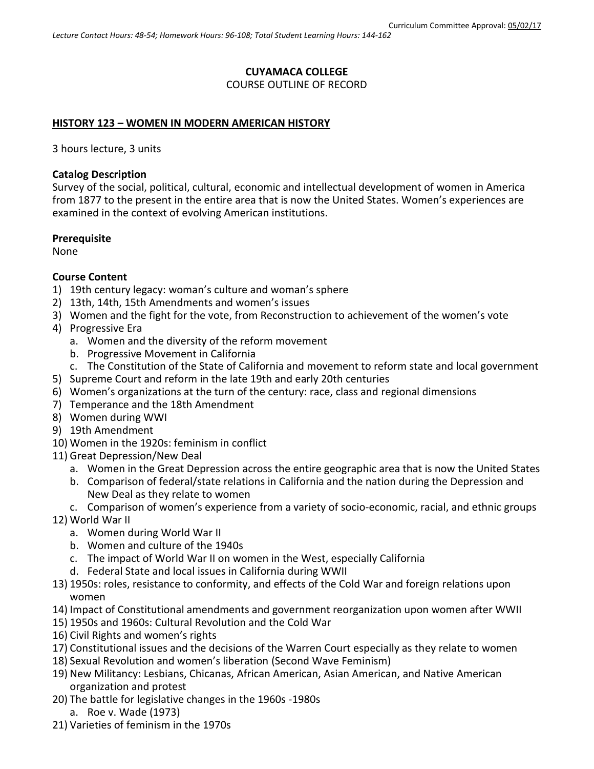# **CUYAMACA COLLEGE**

## COURSE OUTLINE OF RECORD

## **HISTORY 123 – WOMEN IN MODERN AMERICAN HISTORY**

3 hours lecture, 3 units

## **Catalog Description**

Survey of the social, political, cultural, economic and intellectual development of women in America from 1877 to the present in the entire area that is now the United States. Women's experiences are examined in the context of evolving American institutions.

## **Prerequisite**

None

## **Course Content**

- 1) 19th century legacy: woman's culture and woman's sphere
- 2) 13th, 14th, 15th Amendments and women's issues
- 3) Women and the fight for the vote, from Reconstruction to achievement of the women's vote
- 4) Progressive Era
	- a. Women and the diversity of the reform movement
	- b. Progressive Movement in California
	- c. The Constitution of the State of California and movement to reform state and local government
- 5) Supreme Court and reform in the late 19th and early 20th centuries
- 6) Women's organizations at the turn of the century: race, class and regional dimensions
- 7) Temperance and the 18th Amendment
- 8) Women during WWI
- 9) 19th Amendment
- 10) Women in the 1920s: feminism in conflict
- 11) Great Depression/New Deal
	- a. Women in the Great Depression across the entire geographic area that is now the United States
	- b. Comparison of federal/state relations in California and the nation during the Depression and New Deal as they relate to women
	- c. Comparison of women's experience from a variety of socio-economic, racial, and ethnic groups
- 12) World War II
	- a. Women during World War II
	- b. Women and culture of the 1940s
	- c. The impact of World War II on women in the West, especially California
	- d. Federal State and local issues in California during WWII
- 13) 1950s: roles, resistance to conformity, and effects of the Cold War and foreign relations upon women
- 14) Impact of Constitutional amendments and government reorganization upon women after WWII
- 15) 1950s and 1960s: Cultural Revolution and the Cold War
- 16) Civil Rights and women's rights
- 17) Constitutional issues and the decisions of the Warren Court especially as they relate to women
- 18) Sexual Revolution and women's liberation (Second Wave Feminism)
- 19) New Militancy: Lesbians, Chicanas, African American, Asian American, and Native American organization and protest
- 20) The battle for legislative changes in the 1960s -1980s
	- a. Roe v. Wade (1973)
- 21) Varieties of feminism in the 1970s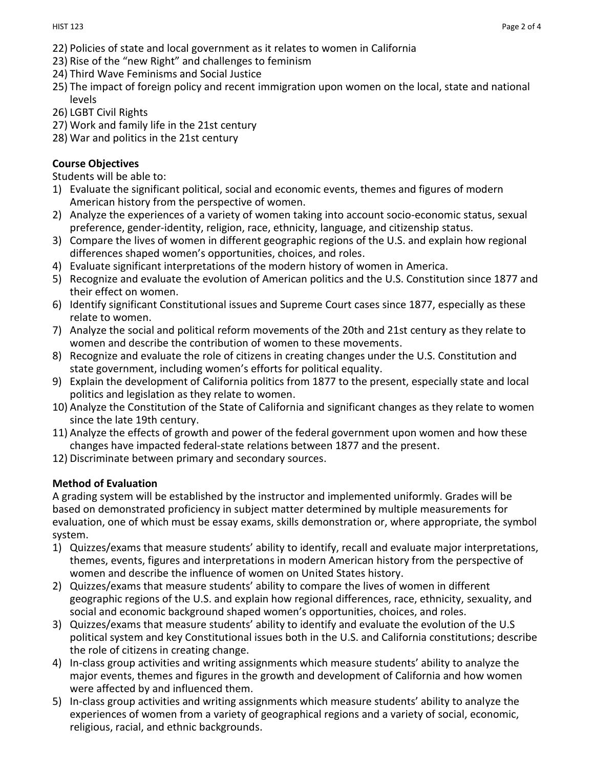- 22) Policies of state and local government as it relates to women in California
- 23) Rise of the "new Right" and challenges to feminism
- 24) Third Wave Feminisms and Social Justice
- 25) The impact of foreign policy and recent immigration upon women on the local, state and national levels
- 26) LGBT Civil Rights
- 27) Work and family life in the 21st century
- 28) War and politics in the 21st century

# **Course Objectives**

Students will be able to:

- 1) Evaluate the significant political, social and economic events, themes and figures of modern American history from the perspective of women.
- 2) Analyze the experiences of a variety of women taking into account socio-economic status, sexual preference, gender-identity, religion, race, ethnicity, language, and citizenship status.
- 3) Compare the lives of women in different geographic regions of the U.S. and explain how regional differences shaped women's opportunities, choices, and roles.
- 4) Evaluate significant interpretations of the modern history of women in America.
- 5) Recognize and evaluate the evolution of American politics and the U.S. Constitution since 1877 and their effect on women.
- 6) Identify significant Constitutional issues and Supreme Court cases since 1877, especially as these relate to women.
- 7) Analyze the social and political reform movements of the 20th and 21st century as they relate to women and describe the contribution of women to these movements.
- 8) Recognize and evaluate the role of citizens in creating changes under the U.S. Constitution and state government, including women's efforts for political equality.
- 9) Explain the development of California politics from 1877 to the present, especially state and local politics and legislation as they relate to women.
- 10) Analyze the Constitution of the State of California and significant changes as they relate to women since the late 19th century.
- 11) Analyze the effects of growth and power of the federal government upon women and how these changes have impacted federal-state relations between 1877 and the present.
- 12) Discriminate between primary and secondary sources.

# **Method of Evaluation**

A grading system will be established by the instructor and implemented uniformly. Grades will be based on demonstrated proficiency in subject matter determined by multiple measurements for evaluation, one of which must be essay exams, skills demonstration or, where appropriate, the symbol system.

- 1) Quizzes/exams that measure students' ability to identify, recall and evaluate major interpretations, themes, events, figures and interpretations in modern American history from the perspective of women and describe the influence of women on United States history.
- 2) Quizzes/exams that measure students' ability to compare the lives of women in different geographic regions of the U.S. and explain how regional differences, race, ethnicity, sexuality, and social and economic background shaped women's opportunities, choices, and roles.
- 3) Quizzes/exams that measure students' ability to identify and evaluate the evolution of the U.S political system and key Constitutional issues both in the U.S. and California constitutions; describe the role of citizens in creating change.
- 4) In-class group activities and writing assignments which measure students' ability to analyze the major events, themes and figures in the growth and development of California and how women were affected by and influenced them.
- 5) In-class group activities and writing assignments which measure students' ability to analyze the experiences of women from a variety of geographical regions and a variety of social, economic, religious, racial, and ethnic backgrounds.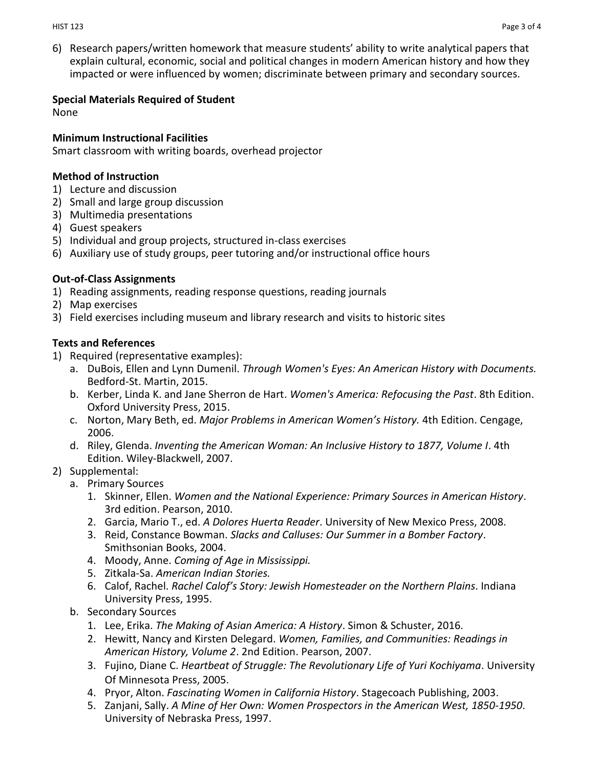6) Research papers/written homework that measure students' ability to write analytical papers that explain cultural, economic, social and political changes in modern American history and how they impacted or were influenced by women; discriminate between primary and secondary sources.

## **Special Materials Required of Student**

None

### **Minimum Instructional Facilities**

Smart classroom with writing boards, overhead projector

### **Method of Instruction**

- 1) Lecture and discussion
- 2) Small and large group discussion
- 3) Multimedia presentations
- 4) Guest speakers
- 5) Individual and group projects, structured in-class exercises
- 6) Auxiliary use of study groups, peer tutoring and/or instructional office hours

## **Out-of-Class Assignments**

- 1) Reading assignments, reading response questions, reading journals
- 2) Map exercises
- 3) Field exercises including museum and library research and visits to historic sites

## **Texts and References**

- 1) Required (representative examples):
	- a. DuBois, Ellen and Lynn Dumenil. *Through Women's Eyes: An American History with Documents.* Bedford-St. Martin, 2015.
	- b. Kerber, Linda K. and Jane Sherron de Hart. *Women's America: Refocusing the Past*. 8th Edition. Oxford University Press, 2015.
	- c. Norton, Mary Beth, ed. *Major Problems in American Women's History.* 4th Edition. Cengage, 2006.
	- d. Riley, Glenda. *Inventing the American Woman: An Inclusive History to 1877, Volume I*. 4th Edition. Wiley-Blackwell, 2007.

## 2) Supplemental:

- a. Primary Sources
	- 1. Skinner, Ellen. *Women and the National Experience: Primary Sources in American History*. 3rd edition. Pearson, 2010.
	- 2. Garcia, Mario T., ed. *A Dolores Huerta Reader*. University of New Mexico Press, 2008.
	- 3. Reid, Constance Bowman. *Slacks and Calluses: Our Summer in a Bomber Factory*. Smithsonian Books, 2004.
	- 4. Moody, Anne. *Coming of Age in Mississippi.*
	- 5. Zitkala-Sa. *American Indian Stories.*
	- 6. Calof, Rachel. *Rachel Calof's Story: Jewish Homesteader on the Northern Plains*. Indiana University Press, 1995.
- b. Secondary Sources
	- 1. Lee, Erika. *The Making of Asian America: A History*. Simon & Schuster, 2016.
	- 2. Hewitt, Nancy and Kirsten Delegard. *Women, Families, and Communities: Readings in American History, Volume 2*. 2nd Edition. Pearson, 2007.
	- 3. Fujino, Diane C. *Heartbeat of Struggle: The Revolutionary Life of Yuri Kochiyama*. University Of Minnesota Press, 2005.
	- 4. Pryor, Alton. *Fascinating Women in California History*. Stagecoach Publishing, 2003.
	- 5. Zanjani, Sally. *A Mine of Her Own: Women Prospectors in the American West, 1850-1950*. University of Nebraska Press, 1997.